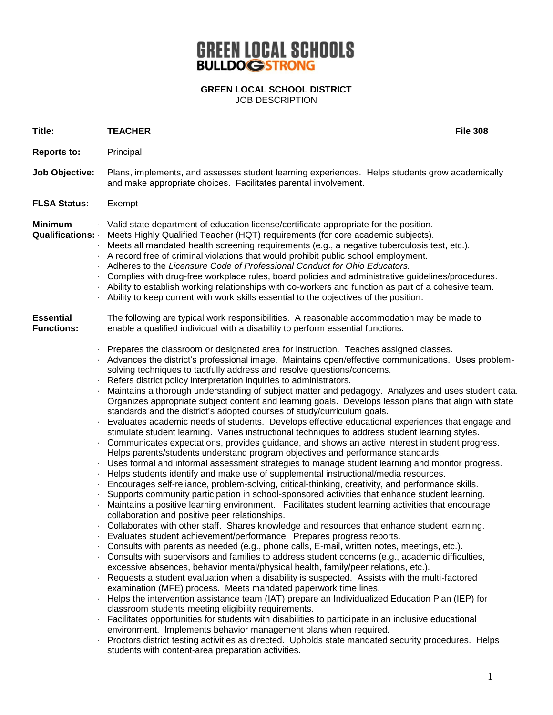## **GREEN LOCAL SCHOOLS**

**GREEN LOCAL SCHOOL DISTRICT** JOB DESCRIPTION

| Title:                                | <b>TEACHER</b>                                                                                                                                                                                                                                                                                                                                                                                                                                                                                                                                                                                                                                                                                                                                                                                                                                                                                                                                                                                                                                                                                                                                                                                                                                                                                                                                                                                                                                                                                                                                                                                                                                                                                                                                                                                                                                                                                                                                                                                                                                                                                                                                                                                                                                                                                                                                                                                                                                                                                                                                                                                                                                                                                                                          | <b>File 308</b> |
|---------------------------------------|-----------------------------------------------------------------------------------------------------------------------------------------------------------------------------------------------------------------------------------------------------------------------------------------------------------------------------------------------------------------------------------------------------------------------------------------------------------------------------------------------------------------------------------------------------------------------------------------------------------------------------------------------------------------------------------------------------------------------------------------------------------------------------------------------------------------------------------------------------------------------------------------------------------------------------------------------------------------------------------------------------------------------------------------------------------------------------------------------------------------------------------------------------------------------------------------------------------------------------------------------------------------------------------------------------------------------------------------------------------------------------------------------------------------------------------------------------------------------------------------------------------------------------------------------------------------------------------------------------------------------------------------------------------------------------------------------------------------------------------------------------------------------------------------------------------------------------------------------------------------------------------------------------------------------------------------------------------------------------------------------------------------------------------------------------------------------------------------------------------------------------------------------------------------------------------------------------------------------------------------------------------------------------------------------------------------------------------------------------------------------------------------------------------------------------------------------------------------------------------------------------------------------------------------------------------------------------------------------------------------------------------------------------------------------------------------------------------------------------------------|-----------------|
| <b>Reports to:</b>                    | Principal                                                                                                                                                                                                                                                                                                                                                                                                                                                                                                                                                                                                                                                                                                                                                                                                                                                                                                                                                                                                                                                                                                                                                                                                                                                                                                                                                                                                                                                                                                                                                                                                                                                                                                                                                                                                                                                                                                                                                                                                                                                                                                                                                                                                                                                                                                                                                                                                                                                                                                                                                                                                                                                                                                                               |                 |
| Job Objective:                        | Plans, implements, and assesses student learning experiences. Helps students grow academically<br>and make appropriate choices. Facilitates parental involvement.                                                                                                                                                                                                                                                                                                                                                                                                                                                                                                                                                                                                                                                                                                                                                                                                                                                                                                                                                                                                                                                                                                                                                                                                                                                                                                                                                                                                                                                                                                                                                                                                                                                                                                                                                                                                                                                                                                                                                                                                                                                                                                                                                                                                                                                                                                                                                                                                                                                                                                                                                                       |                 |
| <b>FLSA Status:</b>                   | Exempt                                                                                                                                                                                                                                                                                                                                                                                                                                                                                                                                                                                                                                                                                                                                                                                                                                                                                                                                                                                                                                                                                                                                                                                                                                                                                                                                                                                                                                                                                                                                                                                                                                                                                                                                                                                                                                                                                                                                                                                                                                                                                                                                                                                                                                                                                                                                                                                                                                                                                                                                                                                                                                                                                                                                  |                 |
| <b>Minimum</b><br>Qualifications: .   | . Valid state department of education license/certificate appropriate for the position.<br>Meets Highly Qualified Teacher (HQT) requirements (for core academic subjects).<br>Meets all mandated health screening requirements (e.g., a negative tuberculosis test, etc.).<br>A record free of criminal violations that would prohibit public school employment.<br>Adheres to the Licensure Code of Professional Conduct for Ohio Educators.<br>Complies with drug-free workplace rules, board policies and administrative guidelines/procedures.<br>. Ability to establish working relationships with co-workers and function as part of a cohesive team.<br>. Ability to keep current with work skills essential to the objectives of the position.                                                                                                                                                                                                                                                                                                                                                                                                                                                                                                                                                                                                                                                                                                                                                                                                                                                                                                                                                                                                                                                                                                                                                                                                                                                                                                                                                                                                                                                                                                                                                                                                                                                                                                                                                                                                                                                                                                                                                                                  |                 |
| <b>Essential</b><br><b>Functions:</b> | The following are typical work responsibilities. A reasonable accommodation may be made to<br>enable a qualified individual with a disability to perform essential functions.                                                                                                                                                                                                                                                                                                                                                                                                                                                                                                                                                                                                                                                                                                                                                                                                                                                                                                                                                                                                                                                                                                                                                                                                                                                                                                                                                                                                                                                                                                                                                                                                                                                                                                                                                                                                                                                                                                                                                                                                                                                                                                                                                                                                                                                                                                                                                                                                                                                                                                                                                           |                 |
| $\bullet$                             | . Prepares the classroom or designated area for instruction. Teaches assigned classes.<br>Advances the district's professional image. Maintains open/effective communications. Uses problem-<br>solving techniques to tactfully address and resolve questions/concerns.<br>Refers district policy interpretation inquiries to administrators.<br>Maintains a thorough understanding of subject matter and pedagogy. Analyzes and uses student data.<br>Organizes appropriate subject content and learning goals. Develops lesson plans that align with state<br>standards and the district's adopted courses of study/curriculum goals.<br>Evaluates academic needs of students. Develops effective educational experiences that engage and<br>stimulate student learning. Varies instructional techniques to address student learning styles.<br>Communicates expectations, provides guidance, and shows an active interest in student progress.<br>Helps parents/students understand program objectives and performance standards.<br>Uses formal and informal assessment strategies to manage student learning and monitor progress.<br>Helps students identify and make use of supplemental instructional/media resources.<br>Encourages self-reliance, problem-solving, critical-thinking, creativity, and performance skills.<br>Supports community participation in school-sponsored activities that enhance student learning.<br>Maintains a positive learning environment. Facilitates student learning activities that encourage<br>collaboration and positive peer relationships.<br>Collaborates with other staff. Shares knowledge and resources that enhance student learning.<br>Evaluates student achievement/performance. Prepares progress reports.<br>Consults with parents as needed (e.g., phone calls, E-mail, written notes, meetings, etc.).<br>. Consults with supervisors and families to address student concerns (e.g., academic difficulties,<br>excessive absences, behavior mental/physical health, family/peer relations, etc.).<br>Requests a student evaluation when a disability is suspected. Assists with the multi-factored<br>examination (MFE) process. Meets mandated paperwork time lines.<br>Helps the intervention assistance team (IAT) prepare an Individualized Education Plan (IEP) for<br>classroom students meeting eligibility requirements.<br>Facilitates opportunities for students with disabilities to participate in an inclusive educational<br>environment. Implements behavior management plans when required.<br>Proctors district testing activities as directed. Upholds state mandated security procedures. Helps<br>students with content-area preparation activities. |                 |